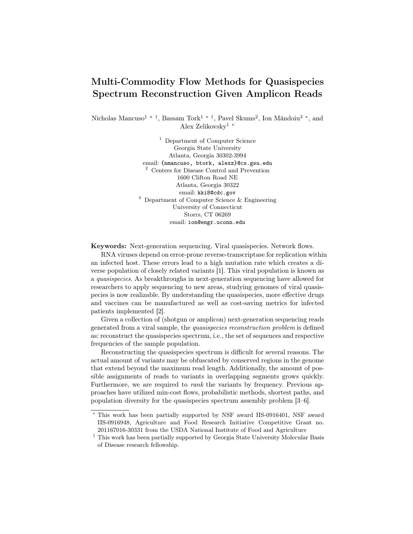## Multi-Commodity Flow Methods for Quasispecies Spectrum Reconstruction Given Amplicon Reads

Nicholas Mancuso<sup>1</sup> <sup>\*</sup><sup>†</sup>, Bassam Tork<sup>1</sup> <sup>\*</sup><sup>†</sup>, Pavel Skums<sup>2</sup>, Ion Măndoiu<sup>3</sup> <sup>\*</sup>, and Alex Zelikovsky<sup>1</sup> <sup>∗</sup>

> <sup>1</sup> Department of Computer Science Georgia State University Atlanta, Georgia 30302-3994 email: {nmancuso, btork, alexz}@cs.gsu.edu <sup>2</sup> Centers for Disease Control and Prevention 1600 Clifton Road NE Atlanta, Georgia 30322 email: kki8@cdc.gov <sup>3</sup> Department of Computer Science & Engineering University of Connecticut Storrs, CT 06269 email: ion@engr.uconn.edu

Keywords: Next-generation sequencing. Viral quasispecies. Network flows.

RNA viruses depend on error-prone reverse-transcriptase for replication within an infected host. These errors lead to a high mutation rate which creates a diverse population of closely related variants [1]. This viral population is known as a quasispecies. As breakthroughs in next-generation sequencing have allowed for researchers to apply sequencing to new areas, studying genomes of viral quasispecies is now realizable. By understanding the quasispecies, more effective drugs and vaccines can be manufactured as well as cost-saving metrics for infected patients implemented [2].

Given a collection of (shotgun or amplicon) next-generation sequencing reads generated from a viral sample, the quasispecies reconstruction problem is defined as: reconstruct the quasispecies spectrum, i.e., the set of sequences and respective frequencies of the sample population.

Reconstructing the quasispecies spectrum is difficult for several reasons. The actual amount of variants may be obfuscated by conserved regions in the genome that extend beyond the maximum read length. Additionally, the amount of possible assignments of reads to variants in overlapping segments grows quickly. Furthermore, we are required to *rank* the variants by frequency. Previous approaches have utilized min-cost flows, probabilistic methods, shortest paths, and population diversity for the quasispecies spectrum assembly problem [3–6].

<sup>∗</sup> This work has been partially supported by NSF award IIS-0916401, NSF award IIS-0916948, Agriculture and Food Research Initiative Competitive Grant no. 201167016-30331 from the USDA National Institute of Food and Agriculture

<sup>†</sup> This work has been partially supported by Georgia State University Molecular Basis of Disease research fellowship.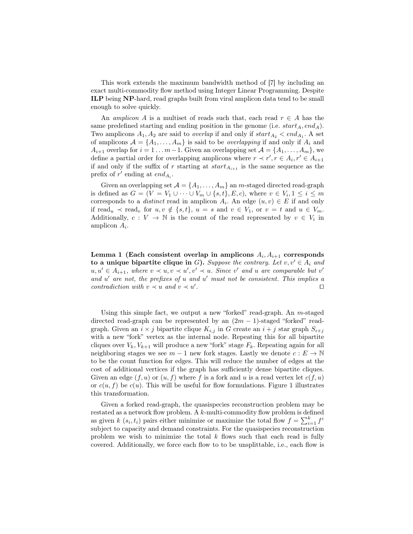This work extends the maximum bandwidth method of [7] by including an exact multi-commodity flow method using Integer Linear Programming. Despite ILP being NP-hard, read graphs built from viral amplicon data tend to be small enough to solve quickly.

An amplicon A is a multiset of reads such that, each read  $r \in A$  has the same predefined starting and ending position in the genome (i.e.  $start_A, end_A$ ). Two amplicons  $A_1, A_2$  are said to *overlap* if and only if  $start_{A_2} < end_{A_1}$ . A set of amplicons  $A = \{A_1, \ldots, A_m\}$  is said to be *overlapping* if and only if  $A_i$  and  $A_{i+1}$  overlap for  $i = 1 \ldots m-1$ . Given an overlapping set  $\mathcal{A} = \{A_1, \ldots, A_m\}$ , we define a partial order for overlapping amplicons where  $r \prec r', r \in A_i, r' \in A_{i+1}$ if and only if the suffix of  $r$  starting at  $start_{A_{i+1}}$  is the same sequence as the prefix of  $r'$  ending at  $end_{A_i}$ .

Given an overlapping set  $\mathcal{A} = \{A_1, \ldots, A_m\}$  an *m*-staged directed read-graph is defined as  $G = (V = V_1 \cup \cdots \cup V_m \cup \{s,t\}, E, c)$ , where  $v \in V_i, 1 \leq i \leq m$ corresponds to a *distinct* read in amplicon  $A_i$ . An edge  $(u, v) \in E$  if and only if read<sub>u</sub>  $\prec$  read<sub>v</sub> for  $u, v \notin \{s, t\}, u = s$  and  $v \in V_1$ , or  $v = t$  and  $u \in V_m$ . Additionally,  $c: V \to \mathbb{N}$  is the count of the read represented by  $v \in V_i$  in amplicon  $A_i$ .

Lemma 1 (Each consistent overlap in amplicons  $A_i, A_{i+1}$  corresponds to a unique bipartite clique in G). Suppose the contrary. Let  $v, v' \in A_i$  and  $u, u' \in A_{i+1}$ , where  $v \prec u, v \prec u', v' \prec u$ . Since v' and u are comparable but v' and  $u'$  are not, the prefixes of  $u$  and  $u'$  must not be consistent. This implies a contradiction with  $v \prec u$  and  $v \prec u'$ . The contract of the contract of  $\Box$ 

Using this simple fact, we output a new "forked" read-graph. An m-staged directed read-graph can be represented by an  $(2m - 1)$ -staged "forked" readgraph. Given an  $i \times j$  bipartite clique  $K_{i,j}$  in G create an  $i + j$  star graph  $S_{i+j}$ with a new "fork" vertex as the internal node. Repeating this for all bipartite cliques over  $V_k$ ,  $V_{k+1}$  will produce a new "fork" stage  $F_k$ . Repeating again for all neighboring stages we see  $m-1$  new fork stages. Lastly we denote  $c: E \to \mathbb{N}$ to be the count function for edges. This will reduce the number of edges at the cost of additional vertices if the graph has sufficiently dense bipartite cliques. Given an edge  $(f, u)$  or  $(u, f)$  where f is a fork and u is a read vertex let  $c(f, u)$ or  $c(u, f)$  be  $c(u)$ . This will be useful for flow formulations. Figure 1 illustrates this transformation.

Given a forked read-graph, the quasispecies reconstruction problem may be restated as a network flow problem. A k-multi-commodity flow problem is defined as given k  $(s_i, t_i)$  pairs either minimize or maximize the total flow  $f = \sum_{i=1}^{k} f^i$ subject to capacity and demand constraints. For the quasispecies reconstruction problem we wish to minimize the total  $k$  flows such that each read is fully covered. Additionally, we force each flow to to be unsplittable, i.e., each flow is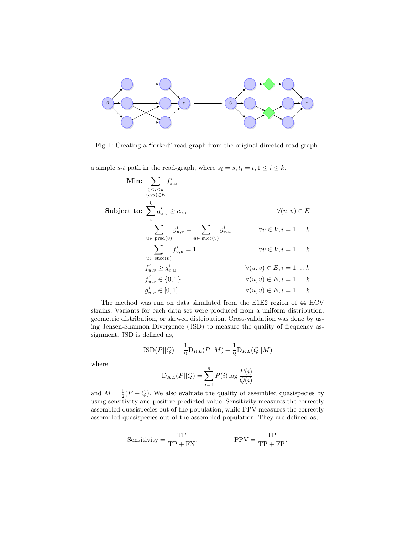

Fig. 1: Creating a "forked" read-graph from the original directed read-graph.

a simple s-t path in the read-graph, where  $s_i = s, t_i = t, 1 \leq i \leq k$ .

$$
\begin{aligned}\n\textbf{Min:} \quad & \sum_{0 \le i \le k} f_{s,u}^i \\
& (s,u) \in E \\
\textbf{Subject to:} \quad & \sum_i g_{u,v}^i \ge c_{u,v} \\
& \sum_{u \in \text{ pred}(v)} g_{u,v}^i = \sum_{u \in \text{ succ}(v)} g_{v,u}^i \qquad \qquad \forall v \in V, i = 1 \dots k \\
& \sum_{u \in \text{ succ}(v)} f_{v,u}^i = 1 \qquad \qquad \forall v \in V, i = 1 \dots k \\
& f_{u,v}^i \ge g_{v,u}^i \qquad \qquad \forall (u,v) \in E, i = 1 \dots k \\
& f_{u,v}^i \in \{0,1\} \qquad \qquad \forall (u,v) \in E, i = 1 \dots k \\
& g_{u,v}^i \in [0,1] \qquad \qquad \forall (u,v) \in E, i = 1 \dots k \\
& \forall (u,v) \in E, i = 1 \dots k\n\end{aligned}
$$

The method was run on data simulated from the E1E2 region of 44 HCV strains. Variants for each data set were produced from a uniform distribution, geometric distribution, or skewed distribution. Cross-validation was done by using Jensen-Shannon Divergence (JSD) to measure the quality of frequency assignment. JSD is defined as,

$$
JSD(P||Q) = \frac{1}{2}D_{KL}(P||M) + \frac{1}{2}D_{KL}(Q||M)
$$

where

$$
D_{KL}(P||Q) = \sum_{i=1}^{n} P(i) \log \frac{P(i)}{Q(i)}
$$

and  $M = \frac{1}{2}(P+Q)$ . We also evaluate the quality of assembled quasispecies by using sensitivity and positive predicted value. Sensitivity measures the correctly assembled quasispecies out of the population, while PPV measures the correctly assembled quasispecies out of the assembled population. They are defined as,

$$
\text{Sensitivity} = \frac{\text{TP}}{\text{TP} + \text{FN}}, \qquad \qquad \text{PPV} = \frac{\text{TP}}{\text{TP} + \text{FP}}.
$$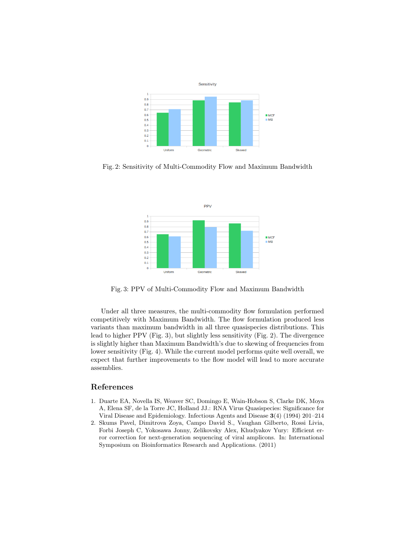

Fig. 2: Sensitivity of Multi-Commodity Flow and Maximum Bandwidth



Fig. 3: PPV of Multi-Commodity Flow and Maximum Bandwidth

Under all three measures, the multi-commodity flow formulation performed competitively with Maximum Bandwidth. The flow formulation produced less variants than maximum bandwidth in all three quasispecies distributions. This lead to higher PPV (Fig. 3), but slightly less sensitivity (Fig. 2). The divergence is slightly higher than Maximum Bandwidth's due to skewing of frequencies from lower sensitivity (Fig. 4). While the current model performs quite well overall, we expect that further improvements to the flow model will lead to more accurate assemblies.

## References

- 1. Duarte EA, Novella IS, Weaver SC, Domingo E, Wain-Hobson S, Clarke DK, Moya A, Elena SF, de la Torre JC, Holland JJ.: RNA Virus Quasispecies: Significance for Viral Disease and Epidemiology. Infectious Agents and Disease 3(4) (1994) 201–214
- 2. Skums Pavel, Dimitrova Zoya, Campo David S., Vaughan Gilberto, Rossi Livia, Forbi Joseph C, Yokosawa Jonny, Zelikovsky Alex, Khudyakov Yury: Efficient error correction for next-generation sequencing of viral amplicons. In: International Symposium on Bioinformatics Research and Applications. (2011)